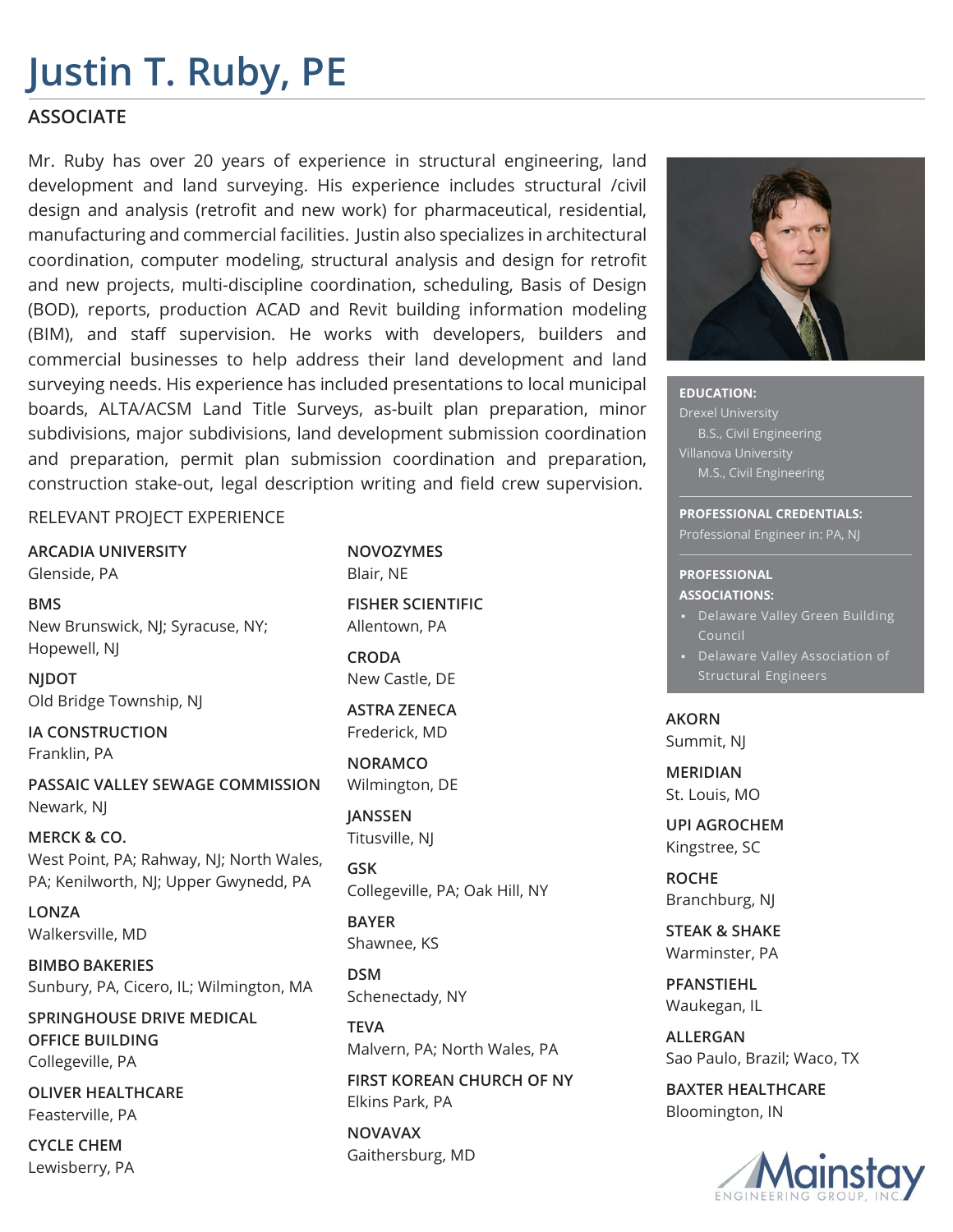## **Justin T. Ruby, PE**

## **ASSOCIATE**

Mr. Ruby has over 20 years of experience in structural engineering, land development and land surveying. His experience includes structural /civil design and analysis (retrofit and new work) for pharmaceutical, residential, manufacturing and commercial facilities. Justin also specializes in architectural coordination, computer modeling, structural analysis and design for retrofit and new projects, multi-discipline coordination, scheduling, Basis of Design (BOD), reports, production ACAD and Revit building information modeling (BIM), and staff supervision. He works with developers, builders and commercial businesses to help address their land development and land surveying needs. His experience has included presentations to local municipal boards, ALTA/ACSM Land Title Surveys, as-built plan preparation, minor subdivisions, major subdivisions, land development submission coordination and preparation, permit plan submission coordination and preparation, construction stake-out, legal description writing and field crew supervision.

RELEVANT PROJECT EXPERIENCE

**ARCADIA UNIVERSITY** Glenside, PA

**BMS** New Brunswick, NJ; Syracuse, NY; Hopewell, NJ

**NJDOT** Old Bridge Township, NJ

**IA CONSTRUCTION** Franklin, PA

**PASSAIC VALLEY SEWAGE COMMISSION** Newark, NJ

**MERCK & CO.** West Point, PA; Rahway, NJ; North Wales, PA; Kenilworth, NJ; Upper Gwynedd, PA

**LONZA** Walkersville, MD

**BIMBO BAKERIES** Sunbury, PA, Cicero, IL; Wilmington, MA

**SPRINGHOUSE DRIVE MEDICAL OFFICE BUILDING** Collegeville, PA

**OLIVER HEALTHCARE** Feasterville, PA

**CYCLE CHEM** Lewisberry, PA **NOVOZYMES** Blair, NE

**FISHER SCIENTIFIC** Allentown, PA

**CRODA** New Castle, DE

**ASTRA ZENECA** Frederick, MD

**NORAMCO** Wilmington, DE

**JANSSEN** Titusville, NJ

**GSK** Collegeville, PA; Oak Hill, NY

**BAYER** Shawnee, KS

**DSM** Schenectady, NY

**TEVA** Malvern, PA; North Wales, PA

**FIRST KOREAN CHURCH OF NY** Elkins Park, PA

**NOVAVAX** Gaithersburg, MD



**EDUCATION:**  Drexel University B.S., Civil Engineering M.S., Civil Engineering

**PROFESSIONAL CREDENTIALS:**  Professional Engineer in: PA, NJ

#### **PROFESSIONAL ASSOCIATIONS:**

- Delaware Valley Green Building Council
- Structural Engineers

**AKORN** Summit, NJ

**MERIDIAN** St. Louis, MO

**UPI AGROCHEM** Kingstree, SC

**ROCHE** Branchburg, NJ

**STEAK & SHAKE** Warminster, PA

**PFANSTIEHL** Waukegan, IL

**ALLERGAN** Sao Paulo, Brazil; Waco, TX

**BAXTER HEALTHCARE** Bloomington, IN